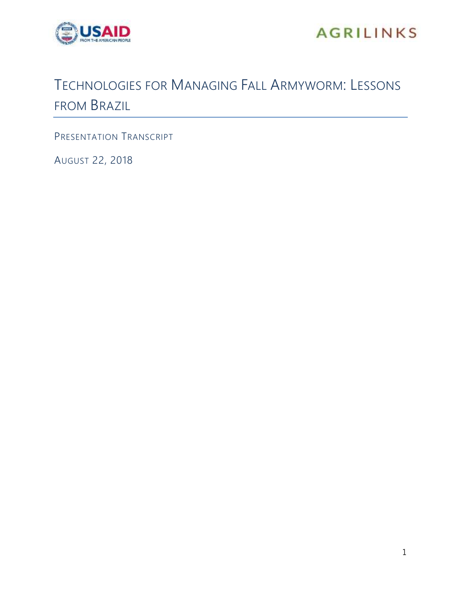

## **AGRILINKS**

## TECHNOLOGIES FOR MANAGING FALL ARMYWORM: LESSONS FROM BRAZIL

PRESENTATION TRANSCRIPT

AUGUST 22, 2018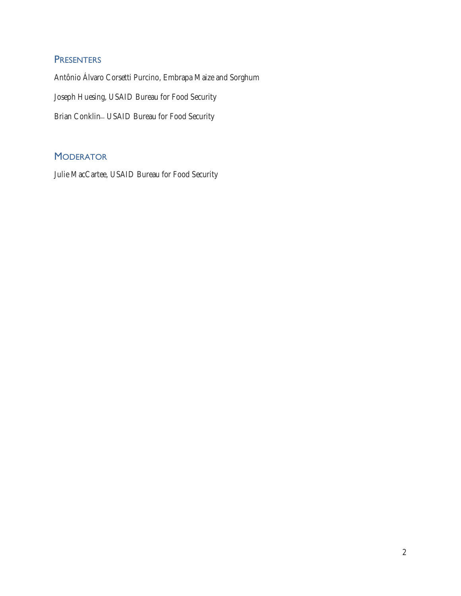## **PRESENTERS**

Antônio Álvaro Corsetti Purcino, Embrapa Maize and Sorghum Joseph Huesing, USAID Bureau for Food Security Brian Conklin- USAID Bureau for Food Security

## **MODERATOR**

Julie MacCartee, USAID Bureau for Food Security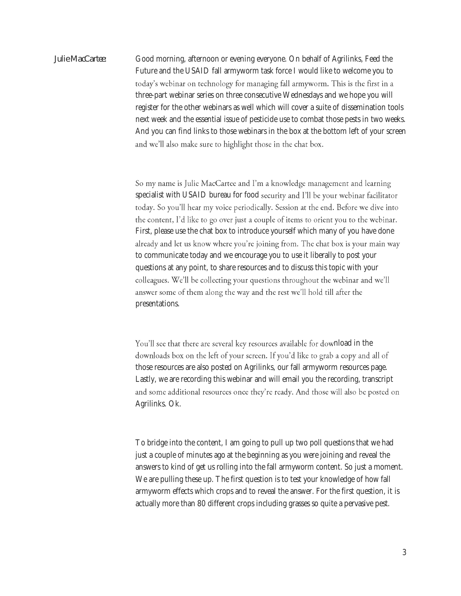*Julie MacCartee:* Good morning, afternoon or evening everyone. On behalf of Agrilinks, Feed the Future and the USAID fall armyworm task force I would like to welcome you to today's webinar on technology for managing fall armyworm. This is the first in a three-part webinar series on three consecutive Wednesdays and we hope you will register for the other webinars as well which will cover a suite of dissemination tools next week and the essential issue of pesticide use to combat those pests in two weeks. And you can find links to those webinars in the box at the bottom left of your screen and we'll also make sure to highlight those in the chat box.

> So my name is Julie MacCartee and I'm a knowledge management and learning specialist with USAID bureau for food security and I'll be your webinar facilitator today. So you'll hear my voice periodically. Session at the end. Before we dive into the content, I'd like to go over just a couple of items to orient you to the webinar. First, please use the chat box to introduce yourself which many of you have done already and let us know where you're joining from. The chat box is your main way to communicate today and we encourage you to use it liberally to post your questions at any point, to share resources and to discuss this topic with your colleagues. We'll be collecting your questions throughout the webinar and we'll answer some of them along the way and the rest we'll hold till after the presentations.

> You'll see that there are several key resources available for download in the downloads box on the left of your screen. If you'd like to grab a copy and all of those resources are also posted on Agrilinks, our fall armyworm resources page. Lastly, we are recording this webinar and will email you the recording, transcript and some additional resources once they're ready. And those will also be posted on Agrilinks. Ok.

To bridge into the content, I am going to pull up two poll questions that we had just a couple of minutes ago at the beginning as you were joining and reveal the answers to kind of get us rolling into the fall armyworm content. So just a moment. We are pulling these up. The first question is to test your knowledge of how fall armyworm effects which crops and to reveal the answer. For the first question, it is actually more than 80 different crops including grasses so quite a pervasive pest.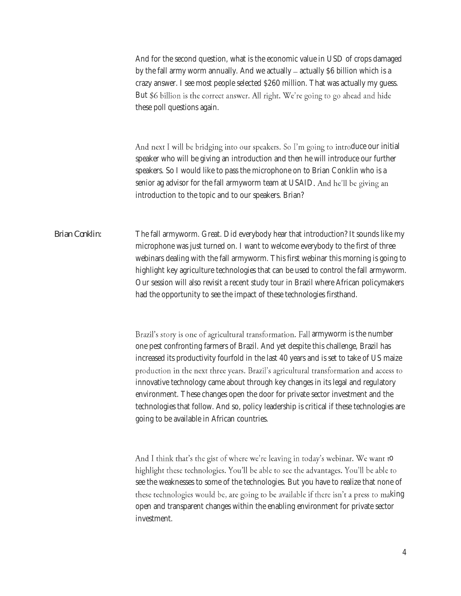And for the second question, what is the economic value in USD of crops damaged by the fall army worm annually. And we actually  $=$  actually \$6 billion which is a crazy answer. I see most people selected \$260 million. That was actually my guess. But \$6 billion is the correct answer. All right. We're going to go ahead and hide these poll questions again.

And next I will be bridging into our speakers. So I'm going to introduce our initial speaker who will be giving an introduction and then he will introduce our further speakers. So I would like to pass the microphone on to Brian Conklin who is a senior ag advisor for the fall armyworm team at USAID. And he'll be giving an introduction to the topic and to our speakers. Brian?

*Brian Conklin:* The fall armyworm. Great. Did everybody hear that introduction? It sounds like my microphone was just turned on. I want to welcome everybody to the first of three webinars dealing with the fall armyworm. This first webinar this morning is going to highlight key agriculture technologies that can be used to control the fall armyworm. Our session will also revisit a recent study tour in Brazil where African policymakers had the opportunity to see the impact of these technologies firsthand.

> Brazil's story is one of agricultural transformation. Fall armyworm is the number one pest confronting farmers of Brazil. And yet despite this challenge, Brazil has increased its productivity fourfold in the last 40 years and is set to take of US maize production in the next three years. Brazil's agricultural transformation and access to innovative technology came about through key changes in its legal and regulatory environment. These changes open the door for private sector investment and the technologies that follow. And so, policy leadership is critical if these technologies are going to be available in African countries.

> And I think that's the gist of where we're leaving in today's webinar. We want to highlight these technologies. You'll be able to see the advantages. You'll be able to see the weaknesses to some of the technologies. But you have to realize that none of these technologies would be, are going to be available if there isn't a press to making open and transparent changes within the enabling environment for private sector investment.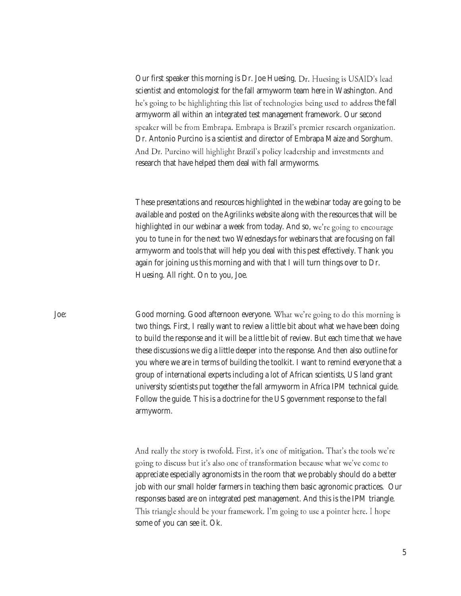Our first speaker this morning is Dr. Joe Huesing. Dr. Huesing is USAID's lead scientist and entomologist for the fall armyworm team here in Washington. And he's going to be highlighting this list of technologies being used to address the fall armyworm all within an integrated test management framework. Our second speaker will be from Embrapa. Embrapa is Brazil's premier research organization. Dr. Antonio Purcino is a scientist and director of Embrapa Maize and Sorghum. And Dr. Purcino will highlight Brazil's policy leadership and investments and research that have helped them deal with fall armyworms.

These presentations and resources highlighted in the webinar today are going to be available and posted on the Agrilinks website along with the resources that will be highlighted in our webinar a week from today. And so, we're going to encourage you to tune in for the next two Wednesdays for webinars that are focusing on fall armyworm and tools that will help you deal with this pest effectively. Thank you again for joining us this morning and with that I will turn things over to Dr. Huesing. All right. On to you, Joe.

Joe: Good morning. Good afternoon everyone. What we're going to do this morning is two things. First, I really want to review a little bit about what we have been doing to build the response and it will be a little bit of review. But each time that we have these discussions we dig a little deeper into the response. And then also outline for you where we are in terms of building the toolkit. I want to remind everyone that a group of international experts including a lot of African scientists, US land grant university scientists put together the fall armyworm in Africa IPM technical guide. Follow the guide. This is a doctrine for the US government response to the fall armyworm.

> And really the story is twofold. First, it's one of mitigation. That's the tools we're going to discuss but it's also one of transformation because what we've come to appreciate especially agronomists in the room that we probably should do a better job with our small holder farmers in teaching them basic agronomic practices. Our responses based are on integrated pest management. And this is the IPM triangle. This triangle should be your framework. I'm going to use a pointer here. I hope some of you can see it. Ok.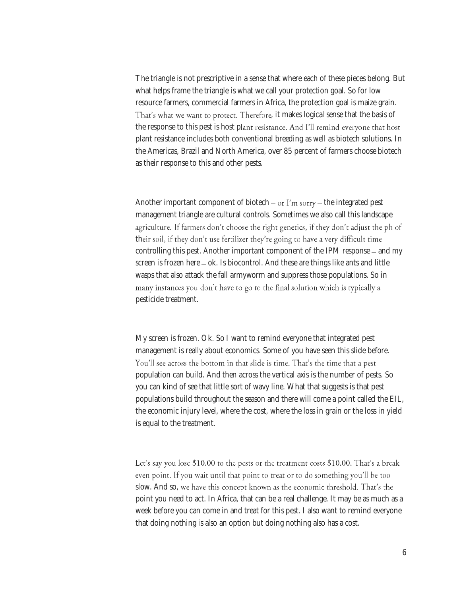The triangle is not prescriptive in a sense that where each of these pieces belong. But what helps frame the triangle is what we call your protection goal. So for low resource farmers, commercial farmers in Africa, the protection goal is maize grain. That's what we want to protect. Therefore, it makes logical sense that the basis of the response to this pest is host plant resistance. And I'll remind everyone that host plant resistance includes both conventional breeding as well as biotech solutions. In the Americas, Brazil and North America, over 85 percent of farmers choose biotech as their response to this and other pests.

Another important component of biotech  $-$  or I'm sorry  $-$  the integrated pest management triangle are cultural controls. Sometimes we also call this landscape agriculture. If farmers don't choose the right genetics, if they don't adjust the ph of their soil, if they don't use fertilizer they're going to have a very difficult time controlling this pest. Another important component of the IPM response – and my screen is frozen here  $-$  ok. Is biocontrol. And these are things like ants and little wasps that also attack the fall armyworm and suppress those populations. So in many instances you don't have to go to the final solution which is typically a pesticide treatment.

My screen is frozen. Ok. So I want to remind everyone that integrated pest management is really about economics. Some of you have seen this slide before. You'll see across the bottom in that slide is time. That's the time that a pest population can build. And then across the vertical axis is the number of pests. So you can kind of see that little sort of wavy line. What that suggests is that pest populations build throughout the season and there will come a point called the EIL, the economic injury level, where the cost, where the loss in grain or the loss in yield is equal to the treatment.

Let's say you lose \$10.00 to the pests or the treatment costs \$10.00. That's a break even point. If you wait until that point to treat or to do something you'll be too slow. And so, we have this concept known as the economic threshold. That's the point you need to act. In Africa, that can be a real challenge. It may be as much as a week before you can come in and treat for this pest. I also want to remind everyone that doing nothing is also an option but doing nothing also has a cost.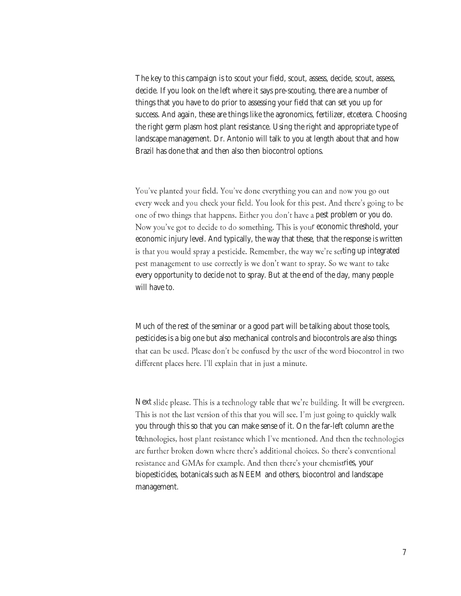The key to this campaign is to scout your field, scout, assess, decide, scout, assess, decide. If you look on the left where it says pre-scouting, there are a number of things that you have to do prior to assessing your field that can set you up for success. And again, these are things like the agronomics, fertilizer, etcetera. Choosing the right germ plasm host plant resistance. Using the right and appropriate type of landscape management. Dr. Antonio will talk to you at length about that and how Brazil has done that and then also then biocontrol options.

You've planted your field. You've done everything you can and now you go out every week and you check your field. You look for this pest. And there's going to be one of two things that happens. Either you don't have a pest problem or you do. Now you've got to decide to do something. This is your economic threshold, your economic injury level. And typically, the way that these, that the response is written is that you would spray a pesticide. Remember, the way we're setting up integrated pest management to use correctly is we don't want to spray. So we want to take every opportunity to decide not to spray. But at the end of the day, many people will have to.

Much of the rest of the seminar or a good part will be talking about those tools, pesticides is a big one but also mechanical controls and biocontrols are also things that can be used. Please don't be confused by the user of the word biocontrol in two different places here. I'll explain that in just a minute.

Next slide please. This is a technology table that we're building. It will be evergreen. This is not the last version of this that you will see. I'm just going to quickly walk you through this so that you can make sense of it. On the far-left column are the technologies, host plant resistance which I've mentioned. And then the technologies are further broken down where there's additional choices. So there's conventional resistance and GMAs for example. And then there's your chemistries, your biopesticides, botanicals such as NEEM and others, biocontrol and landscape management.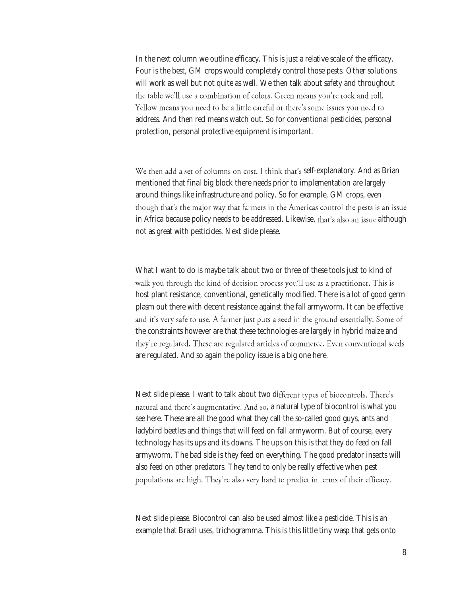In the next column we outline efficacy. This is just a relative scale of the efficacy. Four is the best, GM crops would completely control those pests. Other solutions will work as well but not quite as well. We then talk about safety and throughout the table we'll use a combination of colors. Green means you're rock and roll. Yellow means you need to be a little careful or there's some issues you need to address. And then red means watch out. So for conventional pesticides, personal protection, personal protective equipment is important.

We then add a set of columns on cost. I think that's self-explanatory. And as Brian mentioned that final big block there needs prior to implementation are largely around things like infrastructure and policy. So for example, GM crops, even though that's the major way that farmers in the Americas control the pests is an issue in Africa because policy needs to be addressed. Likewise, that's also an issue although not as great with pesticides. Next slide please.

What I want to do is maybe talk about two or three of these tools just to kind of walk you through the kind of decision process you'll use as a practitioner. This is host plant resistance, conventional, genetically modified. There is a lot of good germ plasm out there with decent resistance against the fall armyworm. It can be effective and it's very safe to use. A farmer just puts a seed in the ground essentially. Some of the constraints however are that these technologies are largely in hybrid maize and they're regulated. These are regulated articles of commerce. Even conventional seeds are regulated. And so again the policy issue is a big one here.

Next slide please. I want to talk about two different types of biocontrols. There's natural and there's augmentative. And so, a natural type of biocontrol is what you see here. These are all the good what they call the so-called good guys, ants and ladybird beetles and things that will feed on fall armyworm. But of course, every technology has its ups and its downs. The ups on this is that they do feed on fall armyworm. The bad side is they feed on everything. The good predator insects will also feed on other predators. They tend to only be really effective when pest populations are high. They're also very hard to predict in terms of their efficacy.

Next slide please. Biocontrol can also be used almost like a pesticide. This is an example that Brazil uses, trichogramma. This is this little tiny wasp that gets onto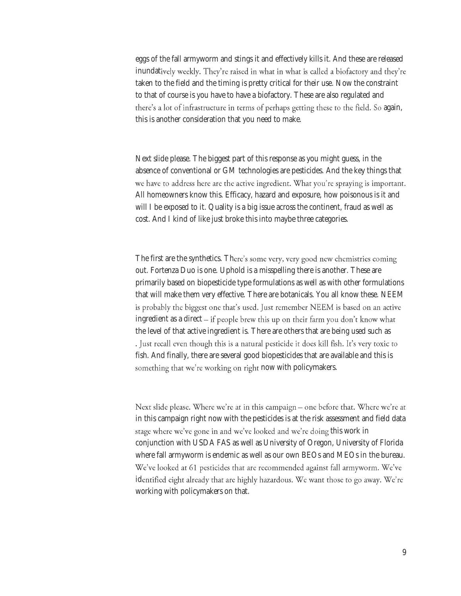eggs of the fall armyworm and stings it and effectively kills it. And these are released inundatively weekly. They're raised in what in what is called a biofactory and they're taken to the field and the timing is pretty critical for their use. Now the constraint to that of course is you have to have a biofactory. These are also regulated and there's a lot of infrastructure in terms of perhaps getting these to the field. So again, this is another consideration that you need to make.

Next slide please. The biggest part of this response as you might guess, in the absence of conventional or GM technologies are pesticides. And the key things that we have to address here are the active ingredient. What you're spraying is important. All homeowners know this. Efficacy, hazard and exposure, how poisonous is it and will I be exposed to it. Quality is a big issue across the continent, fraud as well as cost. And I kind of like just broke this into maybe three categories.

The first are the synthetics. There's some very, very good new chemistries coming out. Fortenza Duo is one. Uphold is a misspelling there is another. These are primarily based on biopesticide type formulations as well as with other formulations that will make them very effective. There are botanicals. You all know these. NEEM is probably the biggest one that's used. Just remember NEEM is based on an active ingredient as a direct  $-$  if people brew this up on their farm you don't know what the level of that active ingredient is. There are others that are being used such as . Just recall even though this is a natural pesticide it does kill fish. It's very toxic to fish. And finally, there are several good biopesticides that are available and this is something that we're working on right now with policymakers.

Next slide please. Where we're at in this campaign – one before that. Where we're at in this campaign right now with the pesticides is at the risk assessment and field data stage where we've gone in and we've looked and we're doing this work in conjunction with USDA FAS as well as University of Oregon, University of Florida where fall armyworm is endemic as well as our own BEOs and MEOs in the bureau. We've looked at 61 pesticides that are recommended against fall armyworm. We've identified eight already that are highly hazardous. We want those to go away. We're working with policymakers on that.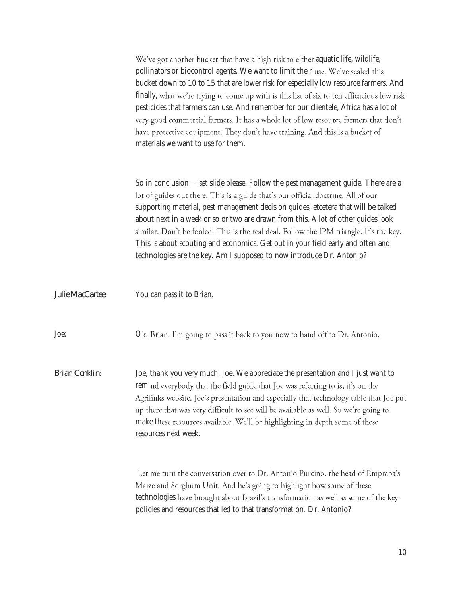| We've got another bucket that have a high risk to either aquatic life, wildlife,           |
|--------------------------------------------------------------------------------------------|
| pollinators or biocontrol agents. We want to limit their use. We've scaled this            |
| bucket down to 10 to 15 that are lower risk for especially low resource farmers. And       |
| finally, what we're trying to come up with is this list of six to ten efficacious low risk |
| pesticides that farmers can use. And remember for our clientele, Africa has a lot of       |
| very good commercial farmers. It has a whole lot of low resource farmers that don't        |
| have protective equipment. They don't have training. And this is a bucket of               |
| materials we want to use for them.                                                         |

So in conclusion – last slide please. Follow the pest management guide. There are a lot of guides out there. This is a guide that's our official doctrine. All of our supporting material, pest management decision guides, etcetera that will be talked about next in a week or so or two are drawn from this. A lot of other guides look similar. Don't be fooled. This is the real deal. Follow the IPM triangle. It's the key. This is about scouting and economics. Get out in your field early and often and technologies are the key. Am I supposed to now introduce Dr. Antonio?

*Julie MacCartee:* You can pass it to Brian. Joe: Ok. Brian. I'm going to pass it back to you now to hand off to Dr. Antonio. *Brian Conklin:* Joe, thank you very much, Joe. We appreciate the presentation and I just want to remind everybody that the field guide that Joe was referring to is, it's on the Agrilinks website. Joe's presentation and especially that technology table that Joe put up there that was very difficult to see will be available as well. So we're going to make these resources available. We'll be highlighting in depth some of these resources next week.

> Let me turn the conversation over to Dr. Antonio Purcino, the head of Empraba's Maize and Sorghum Unit. And he's going to highlight how some of these technologies have brought about Brazil's transformation as well as some of the key policies and resources that led to that transformation. Dr. Antonio?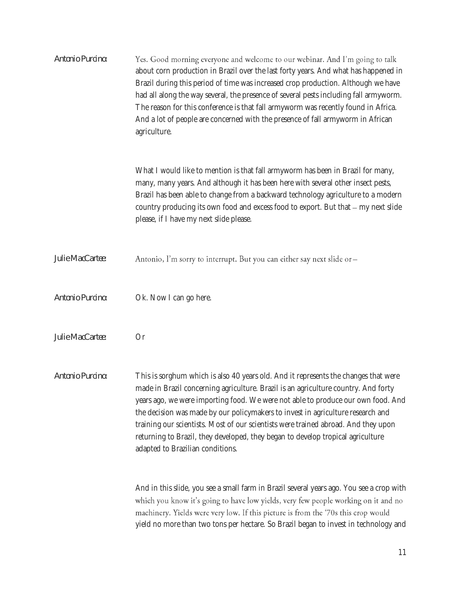| Antonio Purcino: | Yes. Good morning everyone and welcome to our webinar. And I'm going to talk<br>about corn production in Brazil over the last forty years. And what has happened in<br>Brazil during this period of time was increased crop production. Although we have<br>had all along the way several, the presence of several pests including fall armyworm.<br>The reason for this conference is that fall armyworm was recently found in Africa.<br>And a lot of people are concerned with the presence of fall armyworm in African<br>agriculture.                    |
|------------------|---------------------------------------------------------------------------------------------------------------------------------------------------------------------------------------------------------------------------------------------------------------------------------------------------------------------------------------------------------------------------------------------------------------------------------------------------------------------------------------------------------------------------------------------------------------|
|                  | What I would like to mention is that fall armyworm has been in Brazil for many,<br>many, many years. And although it has been here with several other insect pests,<br>Brazil has been able to change from a backward technology agriculture to a modern<br>country producing its own food and excess food to export. But that - my next slide<br>please, if I have my next slide please.                                                                                                                                                                     |
| Julie MacCartee: | Antonio, I'm sorry to interrupt. But you can either say next slide or -                                                                                                                                                                                                                                                                                                                                                                                                                                                                                       |
| Antonio Purcino: | Ok. Now I can go here.                                                                                                                                                                                                                                                                                                                                                                                                                                                                                                                                        |
| Julie MacCartee: | Or                                                                                                                                                                                                                                                                                                                                                                                                                                                                                                                                                            |
| Antonio Purcino: | This is sorghum which is also 40 years old. And it represents the changes that were<br>made in Brazil concerning agriculture. Brazil is an agriculture country. And forty<br>years ago, we were importing food. We were not able to produce our own food. And<br>the decision was made by our policymakers to invest in agriculture research and<br>training our scientists. Most of our scientists were trained abroad. And they upon<br>returning to Brazil, they developed, they began to develop tropical agriculture<br>adapted to Brazilian conditions. |
|                  | And in this slide, you see a small farm in Brazil several years ago. You see a crop with<br>which you know it's going to have low yields, very few people working on it and no<br>machinery. Yields were very low. If this picture is from the '70s this crop would<br>yield no more than two tons per hectare. So Brazil began to invest in technology and                                                                                                                                                                                                   |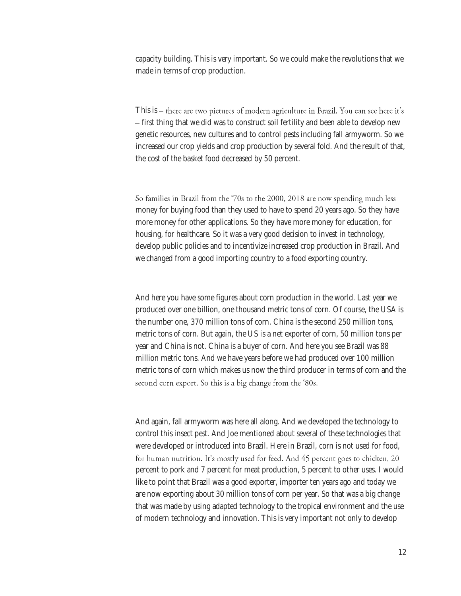capacity building. This is very important. So we could make the revolutions that we made in terms of crop production.

This is – there are two pictures of modern agriculture in Brazil. You can see here it's first thing that we did was to construct soil fertility and been able to develop new genetic resources, new cultures and to control pests including fall armyworm. So we increased our crop yields and crop production by several fold. And the result of that, the cost of the basket food decreased by 50 percent.

So families in Brazil from the '70s to the 2000, 2018 are now spending much less money for buying food than they used to have to spend 20 years ago. So they have more money for other applications. So they have more money for education, for housing, for healthcare. So it was a very good decision to invest in technology, develop public policies and to incentivize increased crop production in Brazil. And we changed from a good importing country to a food exporting country.

And here you have some figures about corn production in the world. Last year we produced over one billion, one thousand metric tons of corn. Of course, the USA is the number one, 370 million tons of corn. China is the second 250 million tons, metric tons of corn. But again, the US is a net exporter of corn, 50 million tons per year and China is not. China is a buyer of corn. And here you see Brazil was 88 million metric tons. And we have years before we had produced over 100 million metric tons of corn which makes us now the third producer in terms of corn and the second corn export. So this is a big change from the '80s.

And again, fall armyworm was here all along. And we developed the technology to control this insect pest. And Joe mentioned about several of these technologies that were developed or introduced into Brazil. Here in Brazil, corn is not used for food, for human nutrition. It's mostly used for feed. And 45 percent goes to chicken, 20 percent to pork and 7 percent for meat production, 5 percent to other uses. I would like to point that Brazil was a good exporter, importer ten years ago and today we are now exporting about 30 million tons of corn per year. So that was a big change that was made by using adapted technology to the tropical environment and the use of modern technology and innovation. This is very important not only to develop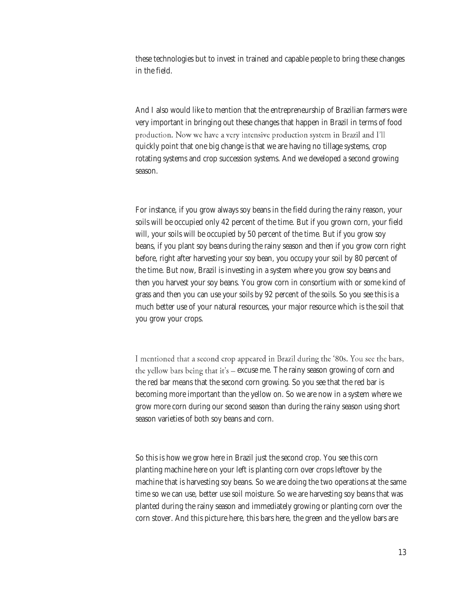these technologies but to invest in trained and capable people to bring these changes in the field.

And I also would like to mention that the entrepreneurship of Brazilian farmers were very important in bringing out these changes that happen in Brazil in terms of food production. Now we have a very intensive production system in Brazil and I'll quickly point that one big change is that we are having no tillage systems, crop rotating systems and crop succession systems. And we developed a second growing season.

For instance, if you grow always soy beans in the field during the rainy reason, your soils will be occupied only 42 percent of the time. But if you grown corn, your field will, your soils will be occupied by 50 percent of the time. But if you grow soy beans, if you plant soy beans during the rainy season and then if you grow corn right before, right after harvesting your soy bean, you occupy your soil by 80 percent of the time. But now, Brazil is investing in a system where you grow soy beans and then you harvest your soy beans. You grow corn in consortium with or some kind of grass and then you can use your soils by 92 percent of the soils. So you see this is a much better use of your natural resources, your major resource which is the soil that you grow your crops.

I mentioned that a second crop appeared in Brazil during the '80s. You see the bars, the yellow bars being that it's  $-$  excuse me. The rainy season growing of corn and the red bar means that the second corn growing. So you see that the red bar is becoming more important than the yellow on. So we are now in a system where we grow more corn during our second season than during the rainy season using short season varieties of both soy beans and corn.

So this is how we grow here in Brazil just the second crop. You see this corn planting machine here on your left is planting corn over crops leftover by the machine that is harvesting soy beans. So we are doing the two operations at the same time so we can use, better use soil moisture. So we are harvesting soy beans that was planted during the rainy season and immediately growing or planting corn over the corn stover. And this picture here, this bars here, the green and the yellow bars are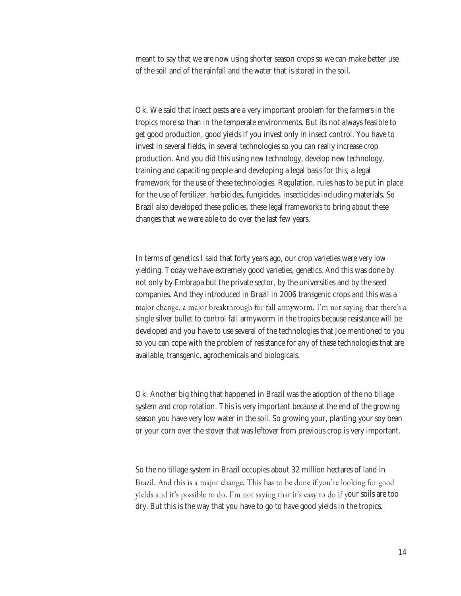meant to say that we are now using shorter season crops so we can make better use of the soil and of the rainfall and the water that is stored in the soil.

Ok. We said that insect pests are a very important problem for the farmers in the tropics more so than in the temperate environments. But its not always feasible to get good production, good yields if you invest only in insect control. You have to invest in several fields, in several technologies so you can really increase crop production. And you did this using new technology, develop new technology, training and capaciting people and developing a legal basis for this, a legal framework for the use of these technologies. Regulation, rules has to be put in place for the use of fertilizer, herbicides, fungicides, insecticides including materials. So Brazil also developed these policies, these legal frameworks to bring about these changes that we were able to do over the last few years.

In terms of genetics I said that forty years ago, our crop varieties were very low yielding. Today we have extremely good varieties, genetics. And this was done by not only by Embrapa but the private sector, by the universities and by the seed companies. And they introduced in Brazil in 2006 transgenic crops and this was a major change, a major breakthrough for fall armyworm. I'm not saying that there's a single silver bullet to control fall armyworm in the tropics because resistance will be developed and you have to use several of the technologies that Joe mentioned to you so you can cope with the problem of resistance for any of these technologies that are available, transgenic, agrochemicals and biologicals.

Ok. Another big thing that happened in Brazil was the adoption of the no tillage system and crop rotation. This is very important because at the end of the growing season you have very low water in the soil. So growing your, planting your soy bean or your corn over the stover that was leftover from previous crop is very important.

So the no tillage system in Brazil occupies about 32 million hectares of land in Brazil. And this is a major change. This has to be done if you're looking for good yields and it's possible to do. I'm not saying that it's easy to do if your soils are too dry. But this is the way that you have to go to have good yields in the tropics.